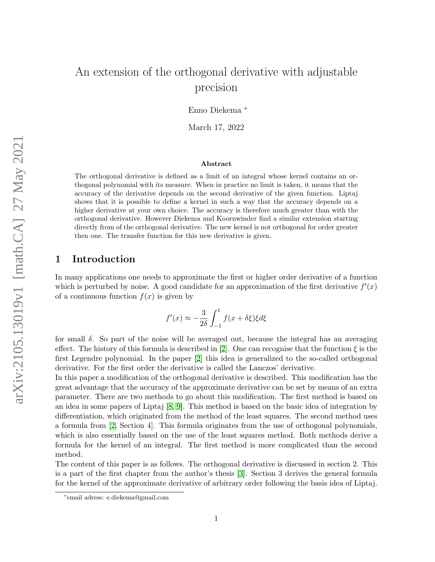# An extension of the orthogonal derivative with adjustable precision

Enno Diekema <sup>∗</sup>

March 17, 2022

#### Abstract

The orthogonal derivative is defined as a limit of an integral whose kernel contains an orthogonal polynomial with its measure. When in practice no limit is taken, it means that the accuracy of the derivative depends on the second derivative of the given function. Liptaj shows that it is possible to define a kernel in such a way that the accuracy depends on a higher derivative at your own choice. The accuracy is therefore much greater than with the orthogonal derivative. However Diekema and Koornwinder find a similar extension starting directly from of the orthogonal derivative. The new kernel is not orthogonal for order greater then one. The transfer function for this new derivative is given.

### 1 Introduction

In many applications one needs to approximate the first or higher order derivative of a function which is perturbed by noise. A good candidate for an approximation of the first derivative  $f'(x)$ of a continuous function  $f(x)$  is given by

$$
f'(x) \approx -\frac{3}{2\delta} \int_{-1}^{1} f(x + \delta \xi) \xi d\xi
$$

for small  $\delta$ . So part of the noise will be averaged out, because the integral has an averaging effect. The history of this formula is described in [\[2\]](#page-24-0). One can recognise that the function  $\xi$  is the first Legendre polynomial. In the paper [\[2\]](#page-24-0) this idea is generalized to the so-called orthogonal derivative. For the first order the derivative is called the Lanczos' derivative.

In this paper a modification of the orthogonal derivative is described. This modification has the great advantage that the accuracy of the approximate derivative can be set by means of an extra parameter. There are two methods to go about this modification. The first method is based on an idea in some papers of Liptaj [\[8,](#page-24-1) [9\]](#page-24-2). This method is based on the basic idea of integration by differentiation, which originated from the method of the least squares. The second method uses a formula from [\[2,](#page-24-0) Section 4]. This formula originates from the use of orthogonal polynomials, which is also essentially based on the use of the least squares method. Both methods derive a formula for the kernel of an integral. The first method is more complicated than the second method.

The content of this paper is as follows. The orthogonal derivative is discussed in section 2. This is a part of the first chapter from the author's thesis [\[3\]](#page-24-3). Section 3 derives the general formula for the kernel of the approximate derivative of arbitrary order following the basis idea of Liptaj.

<sup>∗</sup> email adress: e.diekema@gmail.com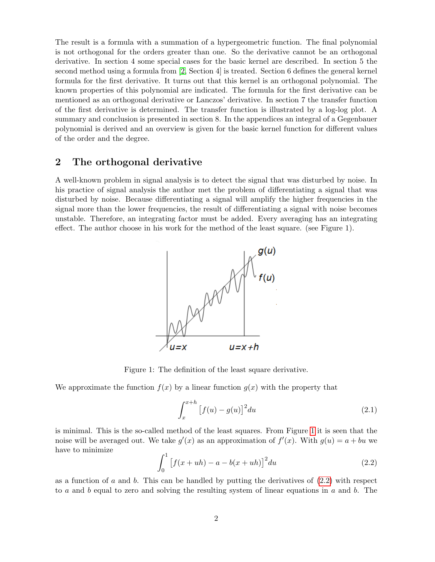The result is a formula with a summation of a hypergeometric function. The final polynomial is not orthogonal for the orders greater than one. So the derivative cannot be an orthogonal derivative. In section 4 some special cases for the basic kernel are described. In section 5 the second method using a formula from [\[2,](#page-24-0) Section 4] is treated. Section 6 defines the general kernel formula for the first derivative. It turns out that this kernel is an orthogonal polynomial. The known properties of this polynomial are indicated. The formula for the first derivative can be mentioned as an orthogonal derivative or Lanczos' derivative. In section 7 the transfer function of the first derivative is determined. The transfer function is illustrated by a log-log plot. A summary and conclusion is presented in section 8. In the appendices an integral of a Gegenbauer polynomial is derived and an overview is given for the basic kernel function for different values of the order and the degree.

### 2 The orthogonal derivative

A well-known problem in signal analysis is to detect the signal that was disturbed by noise. In his practice of signal analysis the author met the problem of differentiating a signal that was disturbed by noise. Because differentiating a signal will amplify the higher frequencies in the signal more than the lower frequencies, the result of differentiating a signal with noise becomes unstable. Therefore, an integrating factor must be added. Every averaging has an integrating effect. The author choose in his work for the method of the least square. (see Figure 1).



<span id="page-1-0"></span>Figure 1: The definition of the least square derivative.

We approximate the function  $f(x)$  by a linear function  $g(x)$  with the property that

<span id="page-1-2"></span>
$$
\int_{x}^{x+h} \left[ f(u) - g(u) \right]^2 du \tag{2.1}
$$

is minimal. This is the so-called method of the least squares. From Figure [1](#page-1-0) it is seen that the noise will be averaged out. We take  $g'(x)$  as an approximation of  $f'(x)$ . With  $g(u) = a + bu$  we have to minimize

<span id="page-1-1"></span>
$$
\int_0^1 \left[ f(x+uh) - a - b(x+uh) \right]^2 du \tag{2.2}
$$

as a function of a and b. This can be handled by putting the derivatives of  $(2.2)$  with respect to a and b equal to zero and solving the resulting system of linear equations in a and b. The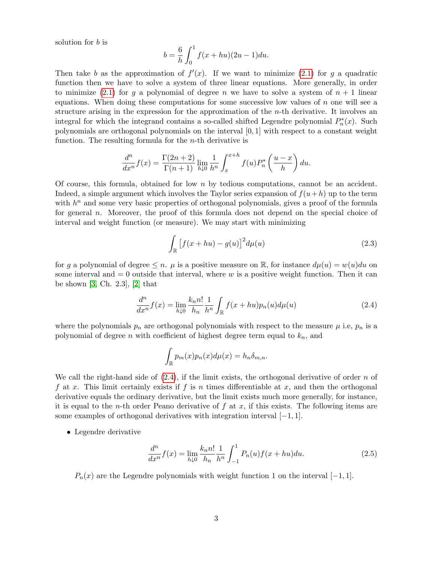solution for b is

$$
b = \frac{6}{h} \int_0^1 f(x + hu)(2u - 1) du.
$$

Then take b as the approximation of  $f'(x)$ . If we want to minimize [\(2.1\)](#page-1-2) for g a quadratic function then we have to solve a system of three linear equations. More generally, in order to minimize [\(2.1\)](#page-1-2) for g a polynomial of degree n we have to solve a system of  $n + 1$  linear equations. When doing these computations for some successive low values of  $n$  one will see a structure arising in the expression for the approximation of the  $n$ -th derivative. It involves an integral for which the integrand contains a so-called shifted Legendre polynomial  $P_n^*(x)$ . Such polynomials are orthogonal polynomials on the interval  $[0, 1]$  with respect to a constant weight function. The resulting formula for the  $n$ -th derivative is

$$
\frac{d^n}{dx^n}f(x) = \frac{\Gamma(2n+2)}{\Gamma(n+1)} \lim_{h \downarrow 0} \frac{1}{h^n} \int_x^{x+h} f(u) P_n^* \left(\frac{u-x}{h}\right) du.
$$

Of course, this formula, obtained for low  $n$  by tedious computations, cannot be an accident. Indeed, a simple argument which involves the Taylor series expansion of  $f(u+h)$  up to the term with  $h<sup>n</sup>$  and some very basic properties of orthogonal polynomials, gives a proof of the formula for general n. Moreover, the proof of this formula does not depend on the special choice of interval and weight function (or measure). We may start with minimizing

$$
\int_{\mathbb{R}} \left[ f(x+hu) - g(u) \right]^2 d\mu(u) \tag{2.3}
$$

for g a polynomial of degree  $\leq n$ .  $\mu$  is a positive measure on R, for instance  $d\mu(u) = w(u)du$  on some interval and  $= 0$  outside that interval, where  $w$  is a positive weight function. Then it can be shown [\[3,](#page-24-3) Ch. 2.3], [\[2\]](#page-24-0) that

<span id="page-2-0"></span>
$$
\frac{d^n}{dx^n}f(x) = \lim_{h \downarrow 0} \frac{k_n n!}{h_n} \frac{1}{h^n} \int_{\mathbb{R}} f(x + hu) p_n(u) d\mu(u) \tag{2.4}
$$

where the polynomials  $p_n$  are orthogonal polynomials with respect to the measure  $\mu$  i.e,  $p_n$  is a polynomial of degree n with coefficient of highest degree term equal to  $k_n$ , and

$$
\int_{\mathbb{R}} p_m(x) p_n(x) d\mu(x) = h_n \delta_{m,n}.
$$

We call the right-hand side of  $(2.4)$ , if the limit exists, the orthogonal derivative of order n of f at x. This limit certainly exists if f is n times differentiable at x, and then the orthogonal derivative equals the ordinary derivative, but the limit exists much more generally, for instance, it is equal to the *n*-th order Peano derivative of f at x, if this exists. The following items are some examples of orthogonal derivatives with integration interval [−1, 1].

• Legendre derivative

<span id="page-2-1"></span>
$$
\frac{d^n}{dx^n}f(x) = \lim_{h \downarrow 0} \frac{k_n n!}{h_n} \frac{1}{h^n} \int_{-1}^1 P_n(u) f(x + hu) du.
$$
\n(2.5)

 $P_n(x)$  are the Legendre polynomials with weight function 1 on the interval [−1, 1].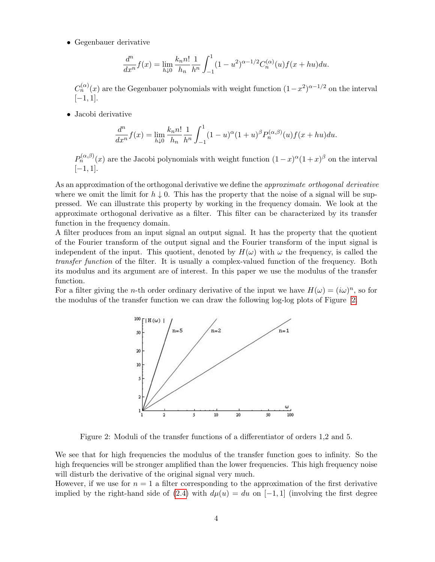• Gegenbauer derivative

$$
\frac{d^n}{dx^n}f(x) = \lim_{h \downarrow 0} \frac{k_n n!}{h_n} \frac{1}{h^n} \int_{-1}^1 (1 - u^2)^{\alpha - 1/2} C_n^{(\alpha)}(u) f(x + hu) du.
$$

 $C_n^{(\alpha)}(x)$  are the Gegenbauer polynomials with weight function  $(1-x^2)^{\alpha-1/2}$  on the interval [−1, 1].

• Jacobi derivative

$$
\frac{d^n}{dx^n}f(x) = \lim_{h \downarrow 0} \frac{k_n n!}{h_n} \frac{1}{h^n} \int_{-1}^1 (1-u)^{\alpha} (1+u)^{\beta} P_n^{(\alpha,\beta)}(u) f(x+hu) du.
$$

 $P_n^{(\alpha,\beta)}(x)$  are the Jacobi polynomials with weight function  $(1-x)^\alpha(1+x)^\beta$  on the interval  $[-1, 1].$ 

As an approximation of the orthogonal derivative we define the approximate orthogonal derivative where we omit the limit for  $h \downarrow 0$ . This has the property that the noise of a signal will be suppressed. We can illustrate this property by working in the frequency domain. We look at the approximate orthogonal derivative as a filter. This filter can be characterized by its transfer function in the frequency domain.

A filter produces from an input signal an output signal. It has the property that the quotient of the Fourier transform of the output signal and the Fourier transform of the input signal is independent of the input. This quotient, denoted by  $H(\omega)$  with  $\omega$  the frequency, is called the transfer function of the filter. It is usually a complex-valued function of the frequency. Both its modulus and its argument are of interest. In this paper we use the modulus of the transfer function.

For a filter giving the *n*-th order ordinary derivative of the input we have  $H(\omega) = (i\omega)^n$ , so for the modulus of the transfer function we can draw the following log-log plots of Figure [2.](#page-3-0)



<span id="page-3-0"></span>Figure 2: Moduli of the transfer functions of a differentiator of orders 1,2 and 5.

We see that for high frequencies the modulus of the transfer function goes to infinity. So the high frequencies will be stronger amplified than the lower frequencies. This high frequency noise will disturb the derivative of the original signal very much.

However, if we use for  $n = 1$  a filter corresponding to the approximation of the first derivative implied by the right-hand side of [\(2.4\)](#page-2-0) with  $d\mu(u) = du$  on [-1, 1] (involving the first degree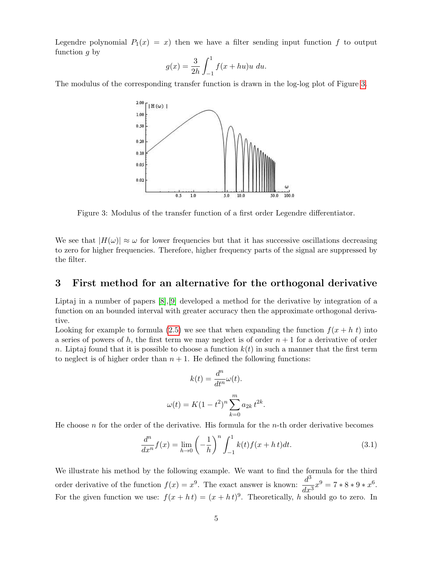Legendre polynomial  $P_1(x) = x$ ) then we have a filter sending input function f to output function  $q$  by

$$
g(x) = \frac{3}{2h} \int_{-1}^{1} f(x + hu)u \ du.
$$

The modulus of the corresponding transfer function is drawn in the log-log plot of Figure [3.](#page-4-0)



<span id="page-4-0"></span>Figure 3: Modulus of the transfer function of a first order Legendre differentiator.

We see that  $|H(\omega)| \approx \omega$  for lower frequencies but that it has successive oscillations decreasing to zero for higher frequencies. Therefore, higher frequency parts of the signal are suppressed by the filter.

### 3 First method for an alternative for the orthogonal derivative

Liptaj in a number of papers [\[8\]](#page-24-1),[\[9\]](#page-24-2) developed a method for the derivative by integration of a function on an bounded interval with greater accuracy then the approximate orthogonal derivative.

Looking for example to formula [\(2.5\)](#page-2-1) we see that when expanding the function  $f(x + h t)$  into a series of powers of h, the first term we may neglect is of order  $n + 1$  for a derivative of order n. Liptaj found that it is possible to choose a function  $k(t)$  in such a manner that the first term to neglect is of higher order than  $n + 1$ . He defined the following functions:

$$
k(t) = \frac{d^n}{dt^n} \omega(t).
$$

$$
\omega(t) = K(1 - t^2)^n \sum_{k=0}^m a_{2k} t^{2k}.
$$

He choose  $n$  for the order of the derivative. His formula for the  $n$ -th order derivative becomes

<span id="page-4-1"></span>
$$
\frac{d^n}{dx^n}f(x) = \lim_{h \to 0} \left(-\frac{1}{h}\right)^n \int_{-1}^1 k(t)f(x+h\,t)dt.
$$
\n(3.1)

We illustrate his method by the following example. We want to find the formula for the third order derivative of the function  $f(x) = x^9$ . The exact answer is known:  $\frac{d^3}{dx^3}$  $\frac{u}{dx^3}x^9 = 7 * 8 * 9 * x^6.$ For the given function we use:  $f(x + ht) = (x + ht)^9$ . Theoretically, h should go to zero. In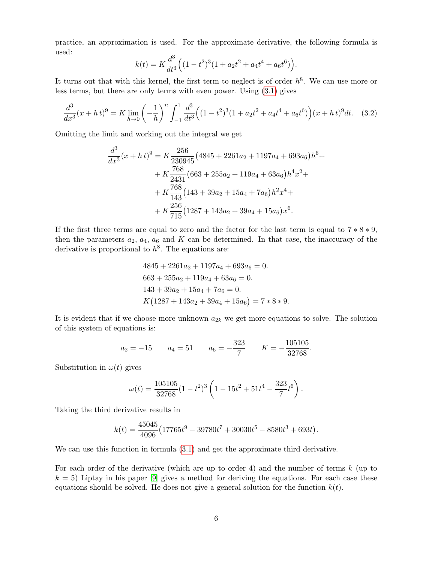practice, an approximation is used. For the approximate derivative, the following formula is used:

$$
k(t) = K \frac{d^3}{dt^3} \Big( (1 - t^2)^3 (1 + a_2 t^2 + a_4 t^4 + a_6 t^6) \Big).
$$

It turns out that with this kernel, the first term to neglect is of order  $h^8$ . We can use more or less terms, but there are only terms with even power. Using [\(3.1\)](#page-4-1) gives

<span id="page-5-0"></span>
$$
\frac{d^3}{dx^3}(x+h\,t)^9 = K \lim_{h \to 0} \left(-\frac{1}{h}\right)^n \int_{-1}^1 \frac{d^3}{dt^3} \Big((1-t^2)^3(1+a_2t^2+a_4t^4+a_6t^6)\Big)(x+h\,t)^9 dt. \tag{3.2}
$$

Omitting the limit and working out the integral we get

$$
\frac{d^3}{dx^3}(x+h\,t)^9 = K \frac{256}{230945} \left(4845 + 2261a_2 + 1197a_4 + 693a_6\right)h^6 +
$$
  
+ 
$$
K \frac{768}{2431} \left(663 + 255a_2 + 119a_4 + 63a_6\right)h^4x^2 +
$$
  
+ 
$$
K \frac{768}{143} \left(143 + 39a_2 + 15a_4 + 7a_6\right)h^2x^4 +
$$
  
+ 
$$
K \frac{256}{715} \left(1287 + 143a_2 + 39a_4 + 15a_6\right)x^6.
$$

If the first three terms are equal to zero and the factor for the last term is equal to  $7 * 8 * 9$ , then the parameters  $a_2$ ,  $a_4$ ,  $a_6$  and K can be determined. In that case, the inaccuracy of the derivative is proportional to  $h^8$ . The equations are:

$$
4845 + 2261a_2 + 1197a_4 + 693a_6 = 0.
$$
  
\n
$$
663 + 255a_2 + 119a_4 + 63a_6 = 0.
$$
  
\n
$$
143 + 39a_2 + 15a_4 + 7a_6 = 0.
$$
  
\n
$$
K(1287 + 143a_2 + 39a_4 + 15a_6) = 7 * 8 * 9.
$$

It is evident that if we choose more unknown  $a_{2k}$  we get more equations to solve. The solution of this system of equations is:

$$
a_2 = -15
$$
  $a_4 = 51$   $a_6 = -\frac{323}{7}$   $K = -\frac{105105}{32768}$ .

Substitution in  $\omega(t)$  gives

$$
\omega(t) = \frac{105105}{32768} (1 - t^2)^3 \left( 1 - 15t^2 + 51t^4 - \frac{323}{7}t^6 \right).
$$

Taking the third derivative results in

$$
k(t) = \frac{45045}{4096} \left( 17765t^9 - 39780t^7 + 30030t^5 - 8580t^3 + 693t \right).
$$

We can use this function in formula  $(3.1)$  and get the approximate third derivative.

For each order of the derivative (which are up to order 4) and the number of terms  $k$  (up to  $k = 5$ ) Liptay in his paper [\[9\]](#page-24-2) gives a method for deriving the equations. For each case these equations should be solved. He does not give a general solution for the function  $k(t)$ .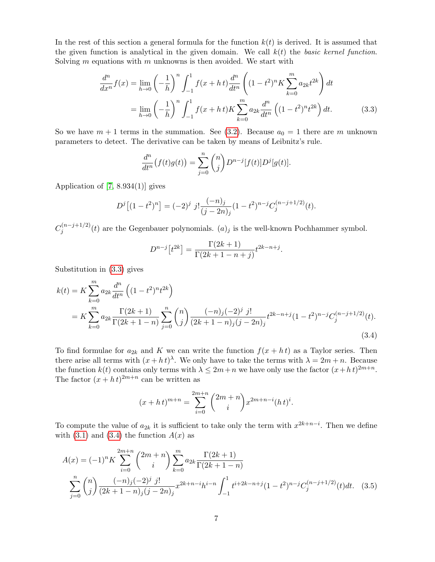In the rest of this section a general formula for the function  $k(t)$  is derived. It is assumed that the given function is analytical in the given domain. We call  $k(t)$  the basic kernel function. Solving  $m$  equations with  $m$  unknowns is then avoided. We start with

$$
\frac{d^n}{dx^n} f(x) = \lim_{h \to 0} \left( -\frac{1}{h} \right)^n \int_{-1}^1 f(x+h) \frac{d^n}{dt^n} \left( (1-t^2)^n K \sum_{k=0}^m a_{2k} t^{2k} \right) dt
$$

$$
= \lim_{h \to 0} \left( -\frac{1}{h} \right)^n \int_{-1}^1 f(x+h) K \sum_{k=0}^m a_{2k} \frac{d^n}{dt^n} \left( (1-t^2)^n t^{2k} \right) dt.
$$
(3.3)

So we have  $m + 1$  terms in the summation. See [\(3.2\)](#page-5-0). Because  $a_0 = 1$  there are m unknown parameters to detect. The derivative can be taken by means of Leibnitz's rule.

<span id="page-6-0"></span>
$$
\frac{d^n}{dt^n}(f(t)g(t)) = \sum_{j=0}^n \binom{n}{j} D^{n-j}[f(t)]D^j[g(t)].
$$

Application of [\[7,](#page-24-4) 8.934(1)] gives

$$
D^{j} \left[ (1 - t^{2})^{n} \right] = (-2)^{j} j! \frac{(-n)_{j}}{(j - 2n)_{j}} (1 - t^{2})^{n-j} C_{j}^{(n-j+1/2)}(t).
$$

 $C_i^{(n-j+1/2)}$  $j_j^{(n-j+1/2)}(t)$  are the Gegenbauer polynomials.  $(a)_j$  is the well-known Pochhammer symbol.

<span id="page-6-1"></span>
$$
D^{n-j}[t^{2k}] = \frac{\Gamma(2k+1)}{\Gamma(2k+1-n+j)}t^{2k-n+j}.
$$

Substitution in [\(3.3\)](#page-6-0) gives

$$
k(t) = K \sum_{k=0}^{m} a_{2k} \frac{d^n}{dt^n} \left( (1 - t^2)^n t^{2k} \right)
$$
  
= 
$$
K \sum_{k=0}^{m} a_{2k} \frac{\Gamma(2k+1)}{\Gamma(2k+1-n)} \sum_{j=0}^{n} {n \choose j} \frac{(-n)_j (-2)^j j!}{(2k+1-n)_j (j-2n)_j} t^{2k-n+j} (1-t^2)^{n-j} C_j^{(n-j+1/2)}(t).
$$
 (3.4)

To find formulae for  $a_{2k}$  and K we can write the function  $f(x + ht)$  as a Taylor series. Then there arise all terms with  $(x + ht)$ <sup> $\lambda$ </sup>. We only have to take the terms with  $\lambda = 2m + n$ . Because the function  $k(t)$  contains only terms with  $\lambda \leq 2m+n$  we have only use the factor  $(x+h)$ <sup>2m+n</sup>. The factor  $(x + h t)^{2m+n}$  can be written as

$$
(x+h\,t)^{m+n} = \sum_{i=0}^{2m+n} \binom{2m+n}{i} x^{2m+n-i} (h\,t)^i.
$$

To compute the value of  $a_{2k}$  it is sufficient to take only the term with  $x^{2k+n-i}$ . Then we define with  $(3.1)$  and  $(3.4)$  the function  $A(x)$  as

$$
A(x) = (-1)^n K \sum_{i=0}^{2m+n} {2m+n \choose i} \sum_{k=0}^m a_{2k} \frac{\Gamma(2k+1)}{\Gamma(2k+1-n)}
$$
  

$$
\sum_{j=0}^n {n \choose j} \frac{(-n)_j (-2)^j j!}{(2k+1-n)_j (j-2n)_j} x^{2k+n-i} h^{i-n} \int_{-1}^1 t^{i+2k-n+j} (1-t^2)^{n-j} C_j^{(n-j+1/2)}(t) dt.
$$
 (3.5)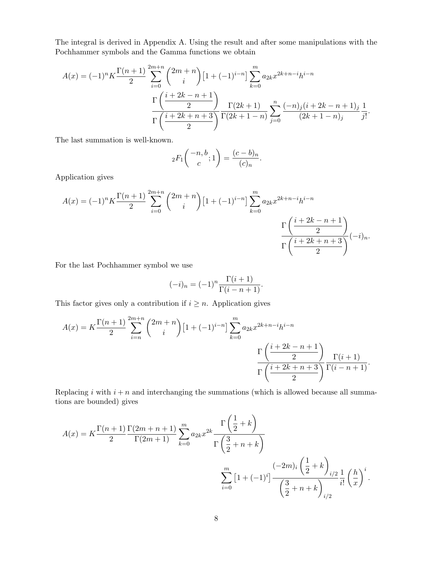The integral is derived in Appendix A. Using the result and after some manipulations with the Pochhammer symbols and the Gamma functions we obtain

$$
A(x) = (-1)^n K \frac{\Gamma(n+1)}{2} \sum_{i=0}^{2m+n} {2m+n \choose i} [1 + (-1)^{i-n}] \sum_{k=0}^m a_{2k} x^{2k+n-i} h^{i-n}
$$

$$
\frac{\Gamma\left(\frac{i+2k-n+1}{2}\right)}{\Gamma\left(\frac{i+2k+n+3}{2}\right)} \frac{\Gamma(2k+1)}{\Gamma(2k+1-n)} \sum_{j=0}^n \frac{(-n)_j (i+2k-n+1)_j}{(2k+1-n)_j} \frac{1}{j!}.
$$

The last summation is well-known.

$$
{}_2F_1\binom{-n, b}{c}; 1 = \frac{(c-b)_n}{(c)_n}.
$$

Application gives

$$
A(x) = (-1)^n K \frac{\Gamma(n+1)}{2} \sum_{i=0}^{2m+n} {2m+n \choose i} [1 + (-1)^{i-n}] \sum_{k=0}^m a_{2k} x^{2k+n-i} h^{i-n}
$$

$$
\frac{\Gamma\left(\frac{i+2k-n+1}{2}\right)}{\Gamma\left(\frac{i+2k+n+3}{2}\right)} (-i)_n.
$$

For the last Pochhammer symbol we use

$$
(-i)n = (-1)n \frac{\Gamma(i+1)}{\Gamma(i-n+1)}.
$$

This factor gives only a contribution if  $i \geq n$ . Application gives

$$
A(x) = K \frac{\Gamma(n+1)}{2} \sum_{i=n}^{2m+n} {2m+n \choose i} [1 + (-1)^{i-n}] \sum_{k=0}^{m} a_{2k} x^{2k+n-i} h^{i-n}
$$

$$
\frac{\Gamma\left(\frac{i+2k-n+1}{2}\right)}{\Gamma\left(\frac{i+2k+n+3}{2}\right)} \frac{\Gamma(i+1)}{\Gamma(i-n+1)}.
$$

Replacing i with  $i + n$  and interchanging the summations (which is allowed because all summations are bounded) gives

$$
A(x) = K \frac{\Gamma(n+1)}{2} \frac{\Gamma(2m+n+1)}{\Gamma(2m+1)} \sum_{k=0}^{m} a_{2k} x^{2k} \frac{\Gamma(\frac{1}{2} + k)}{\Gamma(\frac{3}{2} + n + k)}
$$

$$
\sum_{i=0}^{m} [1 + (-1)^{i}] \frac{(-2m)_{i} (\frac{1}{2} + k)_{i/2}}{(\frac{3}{2} + n + k)_{i/2}} \frac{1}{i!} (\frac{h}{x})^{i}.
$$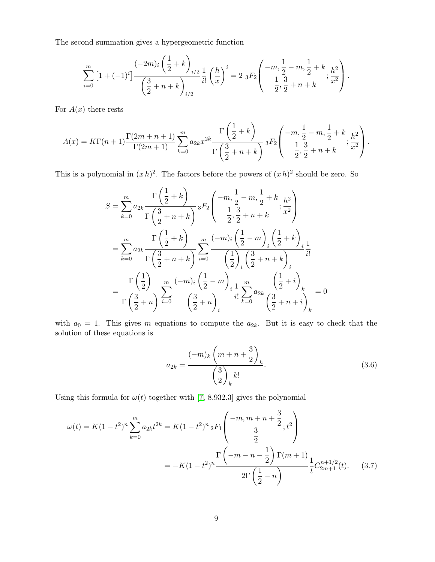The second summation gives a hypergeometric function

$$
\sum_{i=0}^{m} \left[1+(-1)^{i}\right] \frac{(-2m)_{i}\left(\frac{1}{2}+k\right)}{\left(\frac{3}{2}+n+k\right)_{i/2}} \frac{1}{i!} \left(\frac{h}{x}\right)^{i} = 2 \, {}_{3}F_{2} \left(\begin{array}{c} -m, \frac{1}{2}-m, \frac{1}{2}+k \\ \frac{1}{2}, \frac{3}{2}+n+k \end{array}; \frac{h^{2}}{x^{2}}\right).
$$

For  $A(x)$  there rests

$$
A(x) = K\Gamma(n+1) \frac{\Gamma(2m+n+1)}{\Gamma(2m+1)} \sum_{k=0}^{m} a_{2k} x^{2k} \frac{\Gamma\left(\frac{1}{2}+k\right)}{\Gamma\left(\frac{3}{2}+n+k\right)} {}_3F_2\left( \begin{array}{c} -m, \frac{1}{2}-m, \frac{1}{2}+k \\ 1, \frac{3}{2}, \frac{3}{2}+n+k \end{array}; \frac{h^2}{x^2} \right).
$$

This is a polynomial in  $(xh)^2$ . The factors before the powers of  $(xh)^2$  should be zero. So

$$
S = \sum_{k=0}^{m} a_{2k} \frac{\Gamma\left(\frac{1}{2} + k\right)}{\Gamma\left(\frac{3}{2} + n + k\right)} {}_{3}F_{2}\left(-m, \frac{1}{2} - m, \frac{1}{2} + k, \frac{h^{2}}{x^{2}}\right)
$$
  

$$
= \sum_{k=0}^{m} a_{2k} \frac{\Gamma\left(\frac{1}{2} + k\right)}{\Gamma\left(\frac{3}{2} + n + k\right)} \sum_{i=0}^{m} \frac{(-m)_{i} \left(\frac{1}{2} - m\right)_{i} \left(\frac{1}{2} + k\right)}{\left(\frac{1}{2}\right)_{i} \left(\frac{3}{2} + n + k\right)} \frac{1}{i!}
$$
  

$$
= \frac{\Gamma\left(\frac{1}{2}\right)}{\Gamma\left(\frac{3}{2} + n\right)} \sum_{i=0}^{m} \frac{(-m)_{i} \left(\frac{1}{2} - m\right)_{i}}{\left(\frac{1}{2}\right)_{i} \left(\frac{3}{2} + n + k\right)} \frac{1}{i!} \sum_{k=0}^{m} a_{2k} \frac{\left(\frac{1}{2} + i\right)_{k}}{\left(\frac{3}{2} + n + i\right)_{k}} = 0
$$

with  $a_0 = 1$ . This gives m equations to compute the  $a_{2k}$ . But it is easy to check that the solution of these equations is

<span id="page-8-1"></span><span id="page-8-0"></span>
$$
a_{2k} = \frac{(-m)_k \left(m + n + \frac{3}{2}\right)_k}{\left(\frac{3}{2}\right)_k k!}.
$$
 (3.6)

Using this formula for  $\omega(t)$  together with [\[7,](#page-24-4) 8.932.3] gives the polynomial

$$
\omega(t) = K(1 - t^2)^n \sum_{k=0}^m a_{2k} t^{2k} = K(1 - t^2)^n {}_2F_1 \left( \frac{-m, m + n + \frac{3}{2}}{\frac{3}{2}}; t^2 \right)
$$
  
= 
$$
-K(1 - t^2)^n \frac{\Gamma\left(-m - n - \frac{1}{2}\right) \Gamma(m + 1)}{2\Gamma\left(\frac{1}{2} - n\right)} \frac{1}{t} C_{2m+1}^{n+1/2}(t). \tag{3.7}
$$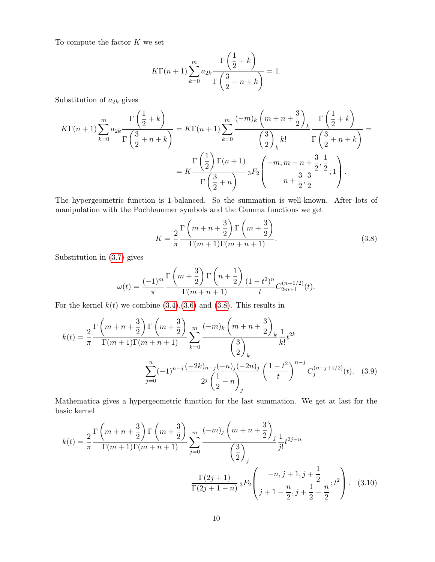To compute the factor  $K$  we set

$$
K\Gamma(n+1)\sum_{k=0}^{m}a_{2k}\frac{\Gamma\left(\frac{1}{2}+k\right)}{\Gamma\left(\frac{3}{2}+n+k\right)}=1.
$$

Substitution of  $a_{2k}$  gives

$$
K\Gamma(n+1)\sum_{k=0}^{m}a_{2k}\frac{\Gamma\left(\frac{1}{2}+k\right)}{\Gamma\left(\frac{3}{2}+n+k\right)} = K\Gamma(n+1)\sum_{k=0}^{m} \frac{(-m)_k\left(m+n+\frac{3}{2}\right)_k}{\left(\frac{3}{2}\right)_k k!} \frac{\Gamma\left(\frac{1}{2}+k\right)}{\Gamma\left(\frac{3}{2}+n+k\right)} = K\frac{\Gamma\left(\frac{1}{2}\right)\Gamma(n+1)}{\Gamma\left(\frac{3}{2}+n\right)} {}_3F_2\left(-m,m+n+\frac{3}{2},\frac{1}{2},1\right).
$$

The hypergeometric function is 1-balanced. So the summation is well-known. After lots of manipulation with the Pochhammer symbols and the Gamma functions we get

<span id="page-9-0"></span>
$$
K = \frac{2}{\pi} \frac{\Gamma\left(m+n+\frac{3}{2}\right) \Gamma\left(m+\frac{3}{2}\right)}{\Gamma(m+1)\Gamma(m+n+1)}.
$$
\n(3.8)

Substitution in [\(3.7\)](#page-8-0) gives

$$
\omega(t) = \frac{(-1)^m}{\pi} \frac{\Gamma\left(m + \frac{3}{2}\right) \Gamma\left(n + \frac{1}{2}\right)}{\Gamma(m + n + 1)} \frac{(1 - t^2)^n}{t} C_{2m + 1}^{(n + 1/2)}(t).
$$

For the kernel  $k(t)$  we combine  $(3.4),(3.6)$  $(3.4),(3.6)$  and  $(3.8)$ . This results in

$$
k(t) = \frac{2}{\pi} \frac{\Gamma\left(m+n+\frac{3}{2}\right) \Gamma\left(m+\frac{3}{2}\right)}{\Gamma(m+1)\Gamma(m+n+1)} \sum_{k=0}^{m} \frac{(-m)_k \left(m+n+\frac{3}{2}\right)_k}{\left(\frac{3}{2}\right)_k} \frac{1}{k!} t^{2k}
$$

$$
\sum_{j=0}^{n} (-1)^{n-j} \frac{(-2k)_{n-j}(-n)_j(-2n)_j}{2^j \left(\frac{1}{2}-n\right)_j} \left(\frac{1-t^2}{t}\right)^{n-j} C_j^{(n-j+1/2)}(t). \quad (3.9)
$$

Mathematica gives a hypergeometric function for the last summation. We get at last for the basic kernel

<span id="page-9-1"></span>
$$
k(t) = \frac{2}{\pi} \frac{\Gamma\left(m+n+\frac{3}{2}\right) \Gamma\left(m+\frac{3}{2}\right)}{\Gamma(m+1)\Gamma(m+n+1)} \sum_{j=0}^{m} \frac{(-m)_j \left(m+n+\frac{3}{2}\right)_j}{\left(\frac{3}{2}\right)_j} \frac{1}{j!} t^{2j-n}
$$

$$
\frac{\Gamma(2j+1)}{\Gamma(2j+1-n)} {}_3F_2 \left( \frac{-n,j+1,j+\frac{1}{2}}{j+1-\frac{n}{2},j+\frac{1}{2}-\frac{n}{2}} ; t^2 \right). \quad (3.10)
$$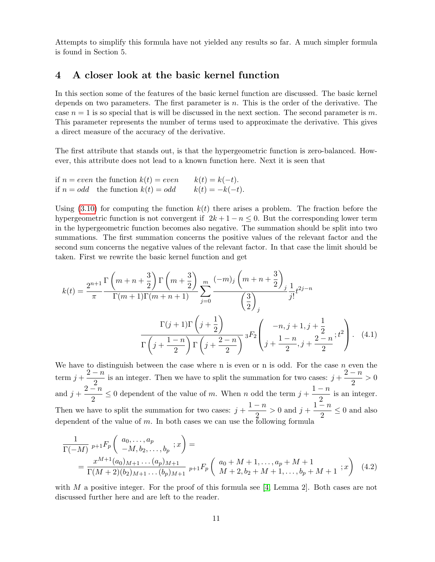Attempts to simplify this formula have not yielded any results so far. A much simpler formula is found in Section 5.

### 4 A closer look at the basic kernel function

In this section some of the features of the basic kernel function are discussed. The basic kernel depends on two parameters. The first parameter is  $n$ . This is the order of the derivative. The case  $n = 1$  is so special that is will be discussed in the next section. The second parameter is m. This parameter represents the number of terms used to approximate the derivative. This gives a direct measure of the accuracy of the derivative.

The first attribute that stands out, is that the hypergeometric function is zero-balanced. However, this attribute does not lead to a known function here. Next it is seen that

if 
$$
n = even
$$
 the function  $k(t) = even$   $k(t) = k(-t)$ .  
if  $n = odd$  the function  $k(t) = odd$   $k(t) = -k(-t)$ .

Using  $(3.10)$  for computing the function  $k(t)$  there arises a problem. The fraction before the hypergeometric function is not convergent if  $2k + 1 - n \leq 0$ . But the corresponding lower term in the hypergeometric function becomes also negative. The summation should be split into two summations. The first summation concerns the positive values of the relevant factor and the second sum concerns the negative values of the relevant factor. In that case the limit should be taken. First we rewrite the basic kernel function and get

<span id="page-10-0"></span>
$$
k(t) = \frac{2^{n+1}}{\pi} \frac{\Gamma\left(m+n+\frac{3}{2}\right) \Gamma\left(m+\frac{3}{2}\right)}{\Gamma(m+1)\Gamma(m+n+1)} \sum_{j=0}^{m} \frac{(-m)_j \left(m+n+\frac{3}{2}\right)_j}{\left(\frac{3}{2}\right)_j} \frac{1}{j!} t^{2j-n}
$$

$$
\frac{\Gamma(j+1)\Gamma\left(j+\frac{1}{2}\right)}{\Gamma\left(j+\frac{1-n}{2}\right) \Gamma\left(j+\frac{2-n}{2}\right)} {}_3F_2 \left( -n, j+1, j+\frac{1}{2} \right) \Gamma\left(j+\frac{2-n}{2}\right)} \tag{4.1}
$$

We have to distinguish between the case where n is even or n is odd. For the case  $n$  even the term  $j+\frac{2-n}{2}$  $\frac{-n}{2}$  is an integer. Then we have to split the summation for two cases:  $j + \frac{2-n}{2}$  $\frac{n}{2} > 0$ and  $j+\frac{2-n}{2}$  $\frac{-n}{2} \leq 0$  dependent of the value of m. When n odd the term  $j + \frac{1-n}{2}$  $\frac{n}{2}$  is an integer. Then we have to split the summation for two cases:  $j + \frac{1-n}{2}$  $\frac{-n}{2} > 0$  and  $j + \frac{1-n}{2}$  $\frac{n}{2} \leq 0$  and also dependent of the value of m. In both cases we can use the following formula

<span id="page-10-1"></span>
$$
\frac{1}{\Gamma(-M)} p_{+1} F_p \begin{pmatrix} a_0, \dots, a_p \\ -M, b_2, \dots, b_p \end{pmatrix} =
$$
\n
$$
= \frac{x^{M+1} (a_0)_{M+1} \dots (a_p)_{M+1}}{\Gamma(M+2)(b_2)_{M+1} \dots (b_p)_{M+1}} p_{+1} F_p \begin{pmatrix} a_0 + M + 1, \dots, a_p + M + 1 \\ M + 2, b_2 + M + 1, \dots, b_p + M + 1 \end{pmatrix}
$$
(4.2)

with M a positive integer. For the proof of this formula see [\[4,](#page-24-5) Lemma 2]. Both cases are not discussed further here and are left to the reader.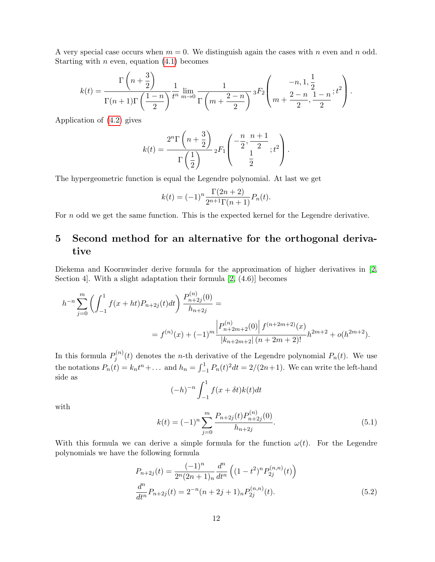A very special case occurs when  $m = 0$ . We distinguish again the cases with n even and n odd. Starting with *n* even, equation  $(4.1)$  becomes

$$
k(t) = \frac{\Gamma\left(n + \frac{3}{2}\right)}{\Gamma(n+1)\Gamma\left(\frac{1-n}{2}\right)} \frac{1}{t^n} \lim_{m \to 0} \frac{1}{\Gamma\left(m + \frac{2-n}{2}\right)} {}_3F_2\left(m + \frac{2-n}{2}, \frac{1-n}{2}; t^2\right).
$$

Application of [\(4.2\)](#page-10-1) gives

$$
k(t) = \frac{2^n \Gamma\left(n + \frac{3}{2}\right)}{\Gamma\left(\frac{1}{2}\right)} {}_2F_1\left(\frac{n}{2}, \frac{n+1}{2}; t^2\right).
$$

The hypergeometric function is equal the Legendre polynomial. At last we get

$$
k(t) = (-1)^n \frac{\Gamma(2n+2)}{2^{n+1}\Gamma(n+1)} P_n(t).
$$

For n odd we get the same function. This is the expected kernel for the Legendre derivative.

# 5 Second method for an alternative for the orthogonal derivative

Diekema and Koornwinder derive formula for the approximation of higher derivatives in [\[2,](#page-24-0) Section 4]. With a slight adaptation their formula [\[2,](#page-24-0) (4.6)] becomes

$$
h^{-n} \sum_{j=0}^{m} \left( \int_{-1}^{1} f(x+ht) P_{n+2j}(t) dt \right) \frac{P_{n+2j}^{(n)}(0)}{h_{n+2j}} =
$$
  
=  $f^{(n)}(x) + (-1)^m \frac{\left| P_{n+2m+2}^{(n)}(0) \right| f^{(n+2m+2)}(x)}{\left| k_{n+2m+2} \right| (n+2m+2)!} h^{2m+2} + o(h^{2m+2}).$ 

In this formula  $P_i^{(n)}$  $j^{(n)}(t)$  denotes the *n*-th derivative of the Legendre polynomial  $P_n(t)$ . We use the notations  $P_n(t) = k_n t^n + ...$  and  $h_n = \int_{-1}^1 P_n(t)^2 dt = 2/(2n+1)$ . We can write the left-hand side as

<span id="page-11-0"></span>
$$
(-h)^{-n} \int_{-1}^{1} f(x + \delta t)k(t)dt
$$

with

<span id="page-11-1"></span>
$$
k(t) = (-1)^n \sum_{j=0}^{m} \frac{P_{n+2j}(t) P_{n+2j}^{(n)}(0)}{h_{n+2j}}.
$$
\n(5.1)

With this formula we can derive a simple formula for the function  $\omega(t)$ . For the Legendre polynomials we have the following formula

$$
P_{n+2j}(t) = \frac{(-1)^n}{2^n (2n+1)_n} \frac{d^n}{dt^n} \left( (1-t^2)^n P_{2j}^{(n,n)}(t) \right)
$$

$$
\frac{d^n}{dt^n} P_{n+2j}(t) = 2^{-n} (n+2j+1)_n P_{2j}^{(n,n)}(t).
$$
(5.2)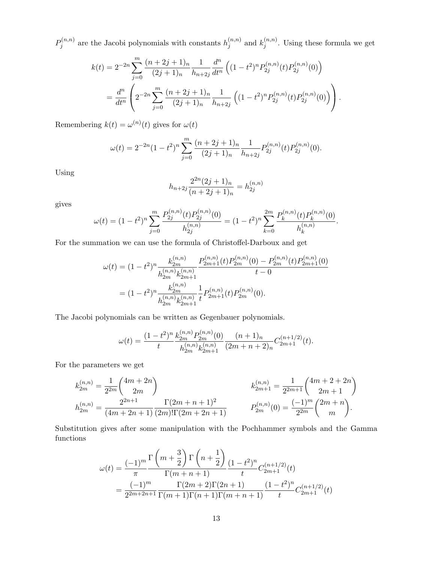$P_i^{(n,n)}$  $b_j^{(n,n)}$  are the Jacobi polynomials with constants  $h_j^{(n,n)}$  $j^{(n,n)}$  and  $k_j^{(n,n)}$  $j^{(n,n)}$ . Using these formula we get

$$
k(t) = 2^{-2n} \sum_{j=0}^{m} \frac{(n+2j+1)_n}{(2j+1)_n} \frac{1}{h_{n+2j}} \frac{d^n}{dt^n} \left( (1-t^2)^n P_{2j}^{(n,n)}(t) P_{2j}^{(n,n)}(0) \right)
$$
  
= 
$$
\frac{d^n}{dt^n} \left( 2^{-2n} \sum_{j=0}^{m} \frac{(n+2j+1)_n}{(2j+1)_n} \frac{1}{h_{n+2j}} \left( (1-t^2)^n P_{2j}^{(n,n)}(t) P_{2j}^{(n,n)}(0) \right) \right).
$$

Remembering  $k(t) = \omega^{(n)}(t)$  gives for  $\omega(t)$ 

$$
\omega(t) = 2^{-2n} (1 - t^2)^n \sum_{j=0}^m \frac{(n+2j+1)_n}{(2j+1)_n} \frac{1}{h_{n+2j}} P_{2j}^{(n,n)}(t) P_{2j}^{(n,n)}(0).
$$

Using

$$
h_{n+2j} \frac{2^{2n} (2j+1)_n}{(n+2j+1)_n} = h_{2j}^{(n,n)}
$$

gives

$$
\omega(t) = (1 - t^2)^n \sum_{j=0}^m \frac{P_{2j}^{(n,n)}(t) P_{2j}^{(n,n)}(0)}{h_{2j}^{(n,n)}} = (1 - t^2)^n \sum_{k=0}^{2m} \frac{P_k^{(n,n)}(t) P_k^{(n,n)}(0)}{h_k^{(n,n)}}.
$$

For the summation we can use the formula of Christoffel-Darboux and get

$$
\omega(t) = (1 - t^2)^n \frac{k_{2m}^{(n,n)}}{h_{2m}^{(n,n)} k_{2m+1}^{(n,n)}} \frac{P_{2m+1}^{(n,n)}(t) P_{2m}^{(n,n)}(0) - P_{2m}^{(n,n)}(t) P_{2m+1}^{(n,n)}(0)}{t - 0}
$$
  
= 
$$
(1 - t^2)^n \frac{k_{2m}^{(n,n)}}{h_{2m}^{(n,n)} k_{2m+1}^{(n,n)}} \frac{1}{t} P_{2m+1}^{(n,n)}(t) P_{2m}^{(n,n)}(0).
$$

The Jacobi polynomials can be written as Gegenbauer polynomials.

$$
\omega(t) = \frac{(1-t^2)^n}{t} \frac{k_{2m}^{(n,n)} P_{2m}^{(n,n)}(0)}{h_{2m}^{(n,n)} k_{2m+1}^{(n,n)}} \frac{(n+1)_n}{(2m+n+2)_n} C_{2m+1}^{(n+1/2)}(t).
$$

For the parameters we get

$$
k_{2m}^{(n,n)} = \frac{1}{2^{2m}} \binom{4m+2n}{2m} \qquad k_{2m+1}^{(n,n)} = \frac{1}{2^{2m+1}} \binom{4m+2+2n}{2m+1}
$$
  
\n
$$
h_{2m}^{(n,n)} = \frac{2^{2n+1}}{(4m+2n+1)} \frac{\Gamma(2m+n+1)^2}{(2m)!\Gamma(2m+2n+1)} \qquad P_{2m}^{(n,n)}(0) = \frac{(-1)^m}{2^{2m}} \binom{2m+n}{m}.
$$

Substitution gives after some manipulation with the Pochhammer symbols and the Gamma functions

$$
\omega(t) = \frac{(-1)^m}{\pi} \frac{\Gamma\left(m + \frac{3}{2}\right) \Gamma\left(n + \frac{1}{2}\right)}{\Gamma(m + n + 1)} \frac{(1 - t^2)^n}{t} C_{2m + 1}^{(n + 1/2)}(t)
$$

$$
= \frac{(-1)^m}{2^{2m + 2n + 1}} \frac{\Gamma(2m + 2)\Gamma(2n + 1)}{\Gamma(m + 1)\Gamma(n + 1)\Gamma(m + n + 1)} \frac{(1 - t^2)^n}{t} C_{2m + 1}^{(n + 1/2)}(t)
$$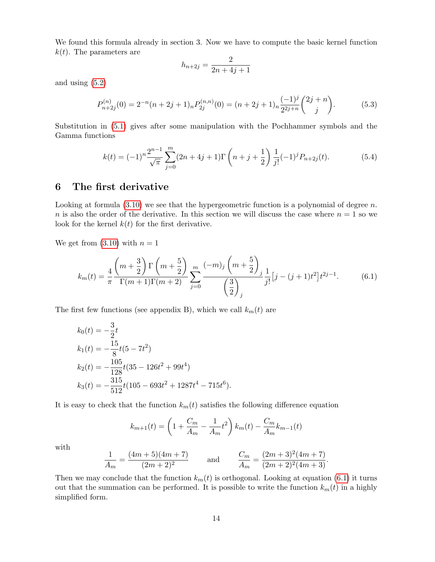We found this formula already in section 3. Now we have to compute the basic kernel function  $k(t)$ . The parameters are

$$
h_{n+2j} = \frac{2}{2n+4j+1}
$$

and using [\(5.2\)](#page-11-0)

$$
P_{n+2j}^{(n)}(0) = 2^{-n}(n+2j+1)_{n} P_{2j}^{(n,n)}(0) = (n+2j+1)_{n} \frac{(-1)^{j}}{2^{2j+n}} {2j+n \choose j}.
$$
 (5.3)

Substitution in [\(5.1\)](#page-11-1) gives after some manipulation with the Pochhammer symbols and the Gamma functions

<span id="page-13-1"></span>
$$
k(t) = (-1)^n \frac{2^{n-1}}{\sqrt{\pi}} \sum_{j=0}^m (2n+4j+1) \Gamma\left(n+j+\frac{1}{2}\right) \frac{1}{j!} (-1)^j P_{n+2j}(t).
$$
 (5.4)

### 6 The first derivative

Looking at formula  $(3.10)$  we see that the hypergeometric function is a polynomial of degree n. n is also the order of the derivative. In this section we will discuss the case where  $n = 1$  so we look for the kernel  $k(t)$  for the first derivative.

We get from  $(3.10)$  with  $n = 1$ 

<span id="page-13-0"></span>
$$
k_m(t) = \frac{4}{\pi} \frac{\left(m + \frac{3}{2}\right) \Gamma\left(m + \frac{5}{2}\right)}{\Gamma(m + 1)\Gamma(m + 2)} \sum_{j=0}^m \frac{(-m)_j \left(m + \frac{5}{2}\right)_j}{\left(\frac{3}{2}\right)_j} \frac{1}{j!} \left[j - (j+1)t^2\right] t^{2j-1}.\tag{6.1}
$$

The first few functions (see appendix B), which we call  $k_m(t)$  are

$$
k_0(t) = -\frac{3}{2}t
$$
  
\n
$$
k_1(t) = -\frac{15}{8}t(5 - 7t^2)
$$
  
\n
$$
k_2(t) = -\frac{105}{128}t(35 - 126t^2 + 99t^4)
$$
  
\n
$$
k_3(t) = -\frac{315}{512}t(105 - 693t^2 + 1287t^4 - 715t^6).
$$

It is easy to check that the function  $k_m(t)$  satisfies the following difference equation

$$
k_{m+1}(t) = \left(1 + \frac{C_m}{A_m} - \frac{1}{A_m}t^2\right)k_m(t) - \frac{C_m}{A_m}k_{m-1}(t)
$$

with

$$
\frac{1}{A_m} = \frac{(4m+5)(4m+7)}{(2m+2)^2} \quad \text{and} \quad \frac{C_m}{A_m} = \frac{(2m+3)^2(4m+7)}{(2m+2)^2(4m+3)}.
$$

Then we may conclude that the function  $k_m(t)$  is orthogonal. Looking at equation [\(6.1\)](#page-13-0) it turns out that the summation can be performed. It is possible to write the function  $k_m(t)$  in a highly simplified form.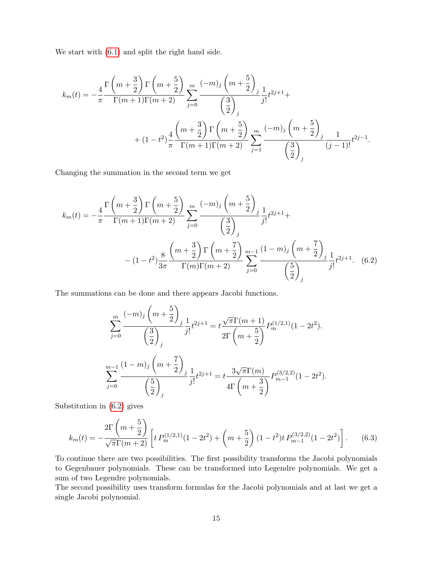We start with [\(6.1\)](#page-13-0) and split the right hand side.

$$
k_m(t) = -\frac{4}{\pi} \frac{\Gamma\left(m + \frac{3}{2}\right) \Gamma\left(m + \frac{5}{2}\right)}{\Gamma(m + 1)\Gamma(m + 2)} \sum_{j=0}^m \frac{(-m)_j \left(m + \frac{5}{2}\right)_j}{\left(\frac{3}{2}\right)_j} \frac{1}{j!} t^{2j+1} + \\ + (1 - t^2) \frac{4}{\pi} \frac{\left(m + \frac{3}{2}\right) \Gamma\left(m + \frac{5}{2}\right)}{\Gamma(m + 1)\Gamma(m + 2)} \sum_{j=1}^m \frac{(-m)_j \left(m + \frac{5}{2}\right)_j}{\left(\frac{3}{2}\right)_j} \frac{1}{(j-1)!} t^{2j-1}.
$$

Changing the summation in the second term we get

$$
k_m(t) = -\frac{4}{\pi} \frac{\Gamma\left(m + \frac{3}{2}\right) \Gamma\left(m + \frac{5}{2}\right)}{\Gamma(m + 1)\Gamma(m + 2)} \sum_{j=0}^m \frac{(-m)_j \left(m + \frac{5}{2}\right)_j}{\left(\frac{3}{2}\right)_j} \frac{1}{j!} t^{2j+1} +
$$
  

$$
- (1 - t^2) \frac{8}{3\pi} \frac{\left(m + \frac{3}{2}\right) \Gamma\left(m + \frac{7}{2}\right)}{\Gamma(m) \Gamma(m + 2)} \sum_{j=0}^{m-1} \frac{(1 - m)_j \left(m + \frac{7}{2}\right)_j}{\left(\frac{5}{2}\right)_j} \frac{1}{j!} t^{2j+1} . \quad (6.2)
$$

The summations can be done and there appears Jacobi functions.

<span id="page-14-0"></span>
$$
\sum_{j=0}^{m} \frac{(-m)_j \left(m + \frac{5}{2}\right)_j}{\left(\frac{3}{2}\right)_j} \frac{1}{j!} t^{2j+1} = t \frac{\sqrt{\pi} \Gamma(m+1)}{2\Gamma\left(m + \frac{5}{2}\right)} P_m^{(1/2,1)}(1 - 2t^2).
$$
  

$$
\sum_{j=0}^{m-1} \frac{(1-m)_j \left(m + \frac{7}{2}\right)_j}{\left(\frac{5}{2}\right)_j} \frac{1}{j!} t^{2j+1} = t \frac{3\sqrt{\pi} \Gamma(m)}{4\Gamma\left(m + \frac{3}{2}\right)} P_{m-1}^{(3/2,2)}(1 - 2t^2).
$$

Substitution in [\(6.2\)](#page-14-0) gives

<span id="page-14-1"></span>
$$
k_m(t) = -\frac{2\Gamma\left(m + \frac{5}{2}\right)}{\sqrt{\pi}\Gamma(m + 2)} \left[ t \, P_m^{(1/2,1)}(1 - 2t^2) + \left(m + \frac{5}{2}\right)(1 - t^2)t \, P_{m-1}^{(3/2,2)}(1 - 2t^2) \right].\tag{6.3}
$$

To continue there are two possibilities. The first possibility transforms the Jacobi polynomials to Gegenbauer polynomials. These can be transformed into Legendre polynomials. We get a sum of two Legendre polynomials.

The second possibility uses transform formulas for the Jacobi polynomials and at last we get a single Jacobi polynomial.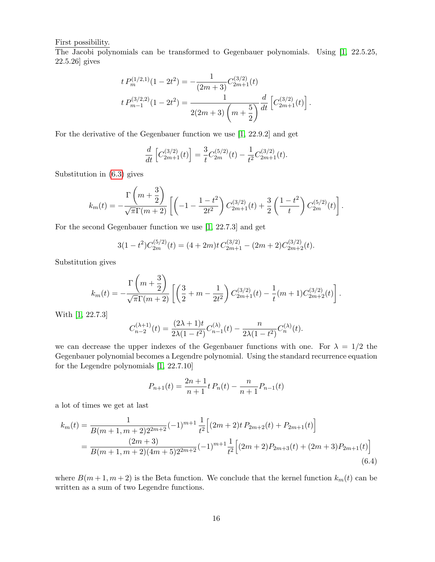First possibility.

The Jacobi polynomials can be transformed to Gegenbauer polynomials. Using [\[1,](#page-24-6) 22.5.25, 22.5.26] gives

$$
t P_m^{(1/2,1)}(1 - 2t^2) = -\frac{1}{(2m+3)} C_{2m+1}^{(3/2)}(t)
$$
  

$$
t P_{m-1}^{(3/2,2)}(1 - 2t^2) = \frac{1}{2(2m+3)\left(m + \frac{5}{2}\right)} \frac{d}{dt} \left[C_{2m+1}^{(3/2)}(t)\right]
$$

.

For the derivative of the Gegenbauer function we use [\[1,](#page-24-6) 22.9.2] and get

$$
\frac{d}{dt}\left[C_{2m+1}^{(3/2)}(t)\right] = \frac{3}{t}C_{2m}^{(5/2)}(t) - \frac{1}{t^2}C_{2m+1}^{(3/2)}(t).
$$

Substitution in [\(6.3\)](#page-14-1) gives

$$
k_m(t) = -\frac{\Gamma\left(m + \frac{3}{2}\right)}{\sqrt{\pi}\Gamma(m + 2)} \left[ \left(-1 - \frac{1 - t^2}{2t^2}\right) C_{2m+1}^{(3/2)}(t) + \frac{3}{2} \left(\frac{1 - t^2}{t}\right) C_{2m}^{(5/2)}(t) \right].
$$

For the second Gegenbauer function we use [\[1,](#page-24-6) 22.7.3] and get

 $\sim$ 

$$
3(1-t^2)C_{2m}^{(5/2)}(t) = (4+2m)t C_{2m+1}^{(3/2)} - (2m+2)C_{2m+2}^{(3/2)}(t).
$$

Substitution gives

$$
k_m(t) = -\frac{\Gamma\left(m + \frac{3}{2}\right)}{\sqrt{\pi}\Gamma(m + 2)} \left[ \left(\frac{3}{2} + m - \frac{1}{2t^2}\right) C_{2m+1}^{(3/2)}(t) - \frac{1}{t}(m+1)C_{2m+2}^{(3/2)}(t) \right].
$$

With [\[1,](#page-24-6) 22.7.3]

$$
C_{n-2}^{(\lambda+1)}(t) = \frac{(2\lambda+1)t}{2\lambda(1-t^2)} C_{n-1}^{(\lambda)}(t) - \frac{n}{2\lambda(1-t^2)} C_n^{(\lambda)}(t).
$$

we can decrease the upper indexes of the Gegenbauer functions with one. For  $\lambda = 1/2$  the Gegenbauer polynomial becomes a Legendre polynomial. Using the standard recurrence equation for the Legendre polynomials [\[1,](#page-24-6) 22.7.10]

<span id="page-15-0"></span>
$$
P_{n+1}(t) = \frac{2n+1}{n+1}t P_n(t) - \frac{n}{n+1} P_{n-1}(t)
$$

a lot of times we get at last

$$
k_m(t) = \frac{1}{B(m+1, m+2)2^{2m+2}} (-1)^{m+1} \frac{1}{t^2} \Big[ (2m+2)t P_{2m+2}(t) + P_{2m+1}(t) \Big]
$$
  
= 
$$
\frac{(2m+3)}{B(m+1, m+2)(4m+5)2^{2m+2}} (-1)^{m+1} \frac{1}{t^2} \Big[ (2m+2) P_{2m+3}(t) + (2m+3) P_{2m+1}(t) \Big]
$$
(6.4)

where  $B(m+1, m+2)$  is the Beta function. We conclude that the kernel function  $k_m(t)$  can be written as a sum of two Legendre functions.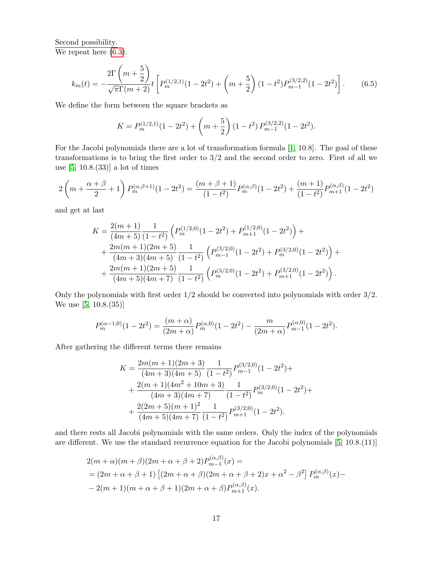Second possibility. We repeat here  $(6.3)$ .

$$
k_m(t) = -\frac{2\Gamma\left(m + \frac{5}{2}\right)}{\sqrt{\pi}\Gamma(m + 2)}t \left[ P_m^{(1/2,1)}(1 - 2t^2) + \left(m + \frac{5}{2}\right)(1 - t^2)P_{m-1}^{(3/2,2)}(1 - 2t^2) \right].
$$
 (6.5)

We define the form between the square brackets as

$$
K = P_m^{(1/2,1)}(1 - 2t^2) + \left(m + \frac{5}{2}\right)(1 - t^2) P_{m-1}^{(3/2,2)}(1 - 2t^2).
$$

For the Jacobi polynomials there are a lot of transformation formula [\[1,](#page-24-6) 10.8]. The goal of these transformations is to bring the first order to  $3/2$  and the second order to zero. First of all we use [\[5,](#page-24-7) 10.8.(33)] a lot of times

$$
2\left(m+\frac{\alpha+\beta}{2}+1\right)P_m^{(\alpha,\beta+1)}(1-2t^2) = \frac{(m+\beta+1)}{(1-t^2)}P_m^{(\alpha,\beta)}(1-2t^2) + \frac{(m+1)}{(1-t^2)}P_{m+1}^{(\alpha,\beta)}(1-2t^2)
$$

and get at last

$$
K = \frac{2(m+1)}{(4m+5)} \frac{1}{(1-t^2)} \left( P_m^{(1/2,0)}(1-2t^2) + P_{m+1}^{(1/2,0)}(1-2t^2) \right) +
$$
  
+ 
$$
\frac{2m(m+1)(2m+5)}{(4m+3)(4m+5)} \frac{1}{(1-t^2)} \left( P_{m-1}^{(3/2,0)}(1-2t^2) + P_m^{(3/2,0)}(1-2t^2) \right) +
$$
  
+ 
$$
\frac{2m(m+1)(2m+5)}{(4m+5)(4m+7)} \frac{1}{(1-t^2)} \left( P_m^{(3/2,0)}(1-2t^2) + P_{m+1}^{(3/2,0)}(1-2t^2) \right).
$$

Only the polynomials with first order 1/2 should be converted into polynomials with order 3/2. We use [\[5,](#page-24-7) 10.8.(35)]

$$
P_m^{(\alpha-1,0)}(1-2t^2) = \frac{(m+\alpha)}{(2m+\alpha)}P_m^{(\alpha,0)}(1-2t^2) - \frac{m}{(2m+\alpha)}P_{m-1}^{(\alpha,0)}(1-2t^2).
$$

After gathering the different terms there remains

$$
K = \frac{2m(m+1)(2m+3)}{(4m+3)(4m+5)} \frac{1}{(1-t^2)} P_{m-1}^{(3/2,0)}(1-2t^2) +
$$
  
+ 
$$
\frac{2(m+1)(4m^2+10m+3)}{(4m+3)(4m+7)} \frac{1}{(1-t^2)} P_m^{(3/2,0)}(1-2t^2) +
$$
  
+ 
$$
\frac{2(2m+5)(m+1)^2}{(4m+5)(4m+7)} \frac{1}{(1-t^2)} P_{m+1}^{(3/2,0)}(1-2t^2).
$$

and there rests all Jacobi polynomials with the same orders. Only the index of the polynomials are different. We use the standard recurrence equation for the Jacobi polynomials [\[5,](#page-24-7) 10.8.(11)]

$$
2(m+\alpha)(m+\beta)(2m+\alpha+\beta+2)P_{m-1}^{(\alpha,\beta)}(x) =
$$
  
=  $(2m+\alpha+\beta+1)\left[(2m+\alpha+\beta)(2m+\alpha+\beta+2)x+\alpha^2-\beta^2\right]P_m^{(\alpha,\beta)}(x) -$   
 $-2(m+1)(m+\alpha+\beta+1)(2m+\alpha+\beta)P_{m+1}^{(\alpha,\beta)}(x).$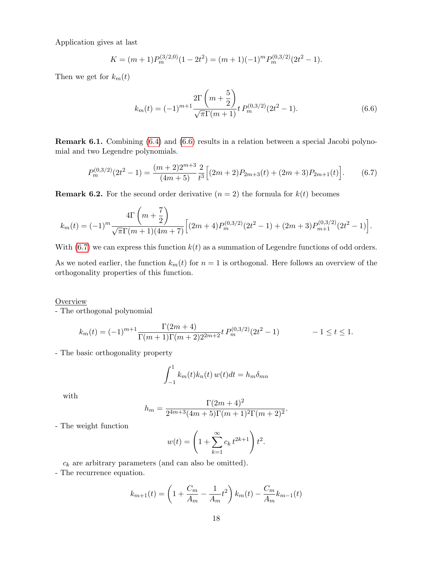Application gives at last

$$
K = (m+1)P_m^{(3/2,0)}(1-2t^2) = (m+1)(-1)^m P_m^{(0,3/2)}(2t^2-1).
$$

Then we get for  $k_m(t)$ 

<span id="page-17-0"></span>
$$
k_m(t) = (-1)^{m+1} \frac{2\Gamma\left(m + \frac{5}{2}\right)}{\sqrt{\pi}\Gamma(m+1)} t P_m^{(0,3/2)}(2t^2 - 1).
$$
 (6.6)

Remark 6.1. Combining [\(6.4\)](#page-15-0) and [\(6.6\)](#page-17-0) results in a relation between a special Jacobi polynomial and two Legendre polynomials.

<span id="page-17-1"></span>
$$
P_m^{(0,3/2)}(2t^2 - 1) = \frac{(m+2)2^{m+3}}{(4m+5)} \frac{2}{t^3} \Big[ (2m+2)P_{2m+3}(t) + (2m+3)P_{2m+1}(t) \Big].
$$
 (6.7)

**Remark 6.2.** For the second order derivative  $(n = 2)$  the formula for  $k(t)$  becomes

$$
k_m(t) = (-1)^m \frac{4\Gamma\left(m + \frac{7}{2}\right)}{\sqrt{\pi}\Gamma(m+1)(4m+7)} \Big[ (2m+4)P_m^{(0,3/2)}(2t^2 - 1) + (2m+3)P_{m+1}^{(0,3/2)}(2t^2 - 1) \Big].
$$

With  $(6.7)$  we can express this function  $k(t)$  as a summation of Legendre functions of odd orders.

As we noted earlier, the function  $k_m(t)$  for  $n = 1$  is orthogonal. Here follows an overview of the orthogonality properties of this function.

#### **Overview**

- The orthogonal polynomial

$$
k_m(t) = (-1)^{m+1} \frac{\Gamma(2m+4)}{\Gamma(m+1)\Gamma(m+2)2^{2m+2}} t P_m^{(0,3/2)}(2t^2 - 1) - 1 \le t \le 1.
$$

- The basic orthogonality property

$$
\int_{-1}^{1} k_m(t)k_n(t) w(t)dt = h_m \delta_{mn}
$$

with

$$
h_m = \frac{\Gamma(2m+4)^2}{2^{4m+3}(4m+5)\Gamma(m+1)^2\Gamma(m+2)^2}.
$$

- The weight function

$$
w(t) = \left(1 + \sum_{k=1}^{\infty} c_k t^{2k+1}\right) t^2.
$$

 $c_k$  are arbitrary parameters (and can also be omitted).

- The recurrence equation.

$$
k_{m+1}(t) = \left(1 + \frac{C_m}{A_m} - \frac{1}{A_m}t^2\right)k_m(t) - \frac{C_m}{A_m}k_{m-1}(t)
$$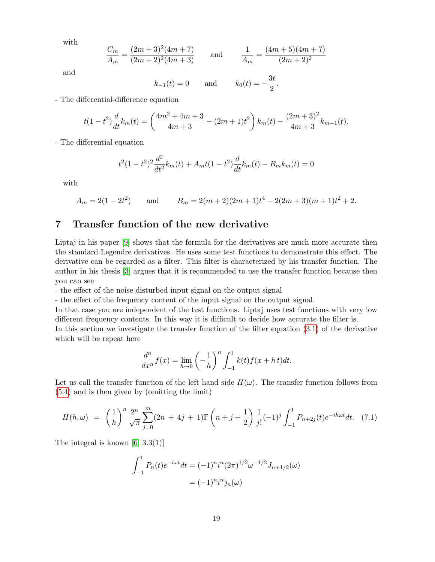with

$$
\frac{C_m}{A_m} = \frac{(2m+3)^2(4m+7)}{(2m+2)^2(4m+3)} \quad \text{and} \quad \frac{1}{A_m} = \frac{(4m+5)(4m+7)}{(2m+2)^2}
$$

and

$$
k_{-1}(t) = 0
$$
 and  $k_0(t) = -\frac{3t}{2}$ 

.

- The differential-difference equation

$$
t(1-t^2)\frac{d}{dt}k_m(t) = \left(\frac{4m^2+4m+3}{4m+3} - (2m+1)t^2\right)k_m(t) - \frac{(2m+3)^2}{4m+3}k_{m-1}(t).
$$

- The differential equation

$$
t^{2}(1-t^{2})^{2} \frac{d^{2}}{dt^{2}} k_{m}(t) + A_{m}t(1-t^{2}) \frac{d}{dt} k_{m}(t) - B_{m}k_{m}(t) = 0
$$

with

$$
A_m = 2(1 - 2t^2)
$$
 and  $B_m = 2(m + 2)(2m + 1)t^4 - 2(2m + 3)(m + 1)t^2 + 2$ .

### 7 Transfer function of the new derivative

Liptaj in his paper [\[9\]](#page-24-2) shows that the formula for the derivatives are much more accurate then the standard Legendre derivatives. He uses some test functions to demonstrate this effect. The derivative can be regarded as a filter. This filter is characterized by his transfer function. The author in his thesis [\[3\]](#page-24-3) argues that it is recommended to use the transfer function because then you can see

- the effect of the noise disturbed input signal on the output signal

- the effect of the frequency content of the input signal on the output signal.

In that case you are independent of the test functions. Liptaj uses test functions with very low different frequency contents. In this way it is difficult to decide how accurate the filter is.

In this section we investigate the transfer function of the filter equation [\(3.1\)](#page-4-1) of the derivative which will be repeat here

$$
\frac{d^n}{dx^n}f(x) = \lim_{h \to 0} \left(-\frac{1}{h}\right)^n \int_{-1}^1 k(t)f(x+h\,t)dt.
$$

Let us call the transfer function of the left hand side  $H(\omega)$ . The transfer function follows from [\(5.4\)](#page-13-1) and is then given by (omitting the limit)

$$
H(h,\omega) = \left(\frac{1}{h}\right)^n \frac{2^n}{\sqrt{\pi}} \sum_{j=0}^m (2n+4j+1) \Gamma\left(n+j+\frac{1}{2}\right) \frac{1}{j!} (-1)^j \int_{-1}^1 P_{n+2j}(t) e^{-ih\omega t} dt. \tag{7.1}
$$

The integral is known  $[6, 3.3(1)]$ 

$$
\int_{-1}^{1} P_n(t)e^{-i\omega t}dt = (-1)^n i^n (2\pi)^{1/2} \omega^{-1/2} J_{n+1/2}(\omega)
$$

$$
= (-1)^n i^n j_n(\omega)
$$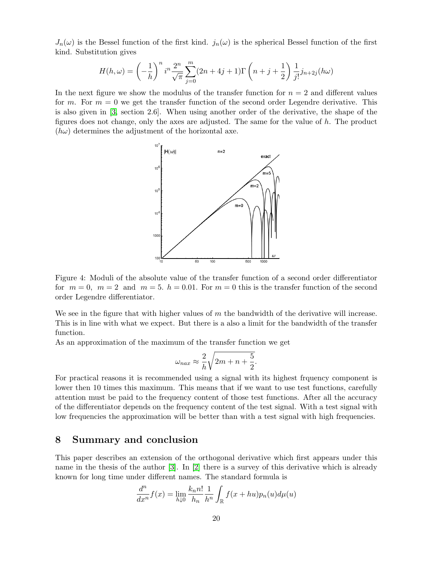$J_n(\omega)$  is the Bessel function of the first kind.  $j_n(\omega)$  is the spherical Bessel function of the first kind. Substitution gives

$$
H(h,\omega) = \left(-\frac{1}{h}\right)^n i^n \frac{2^n}{\sqrt{\pi}} \sum_{j=0}^m (2n+4j+1) \Gamma\left(n+j+\frac{1}{2}\right) \frac{1}{j!} j_{n+2j}(h\omega)
$$

In the next figure we show the modulus of the transfer function for  $n = 2$  and different values for m. For  $m = 0$  we get the transfer function of the second order Legendre derivative. This is also given in [\[3,](#page-24-3) section 2.6]. When using another order of the derivative, the shape of the figures does not change, only the axes are adjusted. The same for the value of  $h$ . The product  $(h\omega)$  determines the adjustment of the horizontal axe.



Figure 4: Moduli of the absolute value of the transfer function of a second order differentiator for  $m = 0$ ,  $m = 2$  and  $m = 5$ .  $h = 0.01$ . For  $m = 0$  this is the transfer function of the second order Legendre differentiator.

We see in the figure that with higher values of  $m$  the bandwidth of the derivative will increase. This is in line with what we expect. But there is a also a limit for the bandwidth of the transfer function.

As an approximation of the maximum of the transfer function we get

$$
\omega_{nax} \approx \frac{2}{h} \sqrt{2m + n + \frac{5}{2}}.
$$

For practical reasons it is recommended using a signal with its highest frquency component is lower then 10 times this maximum. This means that if we want to use test functions, carefully attention must be paid to the frequency content of those test functions. After all the accuracy of the differentiator depends on the frequency content of the test signal. With a test signal with low frequencies the approximation will be better than with a test signal with high frequencies.

### 8 Summary and conclusion

This paper describes an extension of the orthogonal derivative which first appears under this name in the thesis of the author [\[3\]](#page-24-3). In [\[2\]](#page-24-0) there is a survey of this derivative which is already known for long time under different names. The standard formula is

$$
\frac{d^n}{dx^n}f(x) = \lim_{h \downarrow 0} \frac{k_n n!}{h_n} \frac{1}{h^n} \int_{\mathbb{R}} f(x + hu)p_n(u)d\mu(u)
$$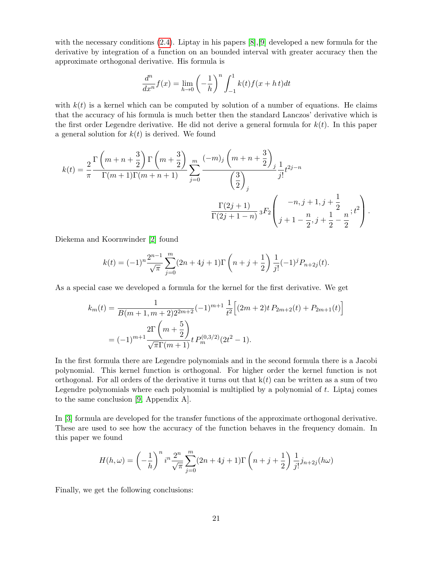with the necessary conditions [\(2.4\)](#page-2-0). Liptay in his papers [\[8\]](#page-24-1),[\[9\]](#page-24-2) developed a new formula for the derivative by integration of a function on an bounded interval with greater accuracy then the approximate orthogonal derivative. His formula is

$$
\frac{d^n}{dx^n}f(x) = \lim_{h \to 0} \left(-\frac{1}{h}\right)^n \int_{-1}^1 k(t)f(x+h\,t)dt
$$

with  $k(t)$  is a kernel which can be computed by solution of a number of equations. He claims that the accuracy of his formula is much better then the standard Lanczos' derivative which is the first order Legendre derivative. He did not derive a general formula for  $k(t)$ . In this paper a general solution for  $k(t)$  is derived. We found

$$
k(t) = \frac{2}{\pi} \frac{\Gamma\left(m+n+\frac{3}{2}\right) \Gamma\left(m+\frac{3}{2}\right)}{\Gamma(m+1)\Gamma(m+n+1)} \sum_{j=0}^{m} \frac{(-m)_j \left(m+n+\frac{3}{2}\right)_j}{\left(\frac{3}{2}\right)_j} \frac{1}{j!} t^{2j-n}
$$

$$
\frac{\Gamma(2j+1)}{\Gamma(2j+1-n)} 3F_2 \left(\frac{-n,j+1,j+\frac{1}{2}}{j+1-\frac{n}{2},j+\frac{1}{2}-\frac{n}{2}}; t^2\right).
$$

Diekema and Koornwinder [\[2\]](#page-24-0) found

$$
k(t) = (-1)^n \frac{2^{n-1}}{\sqrt{\pi}} \sum_{j=0}^m (2n+4j+1) \Gamma\left(n+j+\frac{1}{2}\right) \frac{1}{j!} (-1)^j P_{n+2j}(t).
$$

As a special case we developed a formula for the kernel for the first derivative. We get

$$
k_m(t) = \frac{1}{B(m+1, m+2)2^{2m+2}} (-1)^{m+1} \frac{1}{t^2} \Big[ (2m+2)t P_{2m+2}(t) + P_{2m+1}(t) \Big]
$$
  
=  $(-1)^{m+1} \frac{2\Gamma\left(m+\frac{5}{2}\right)}{\sqrt{\pi}\Gamma(m+1)} t P_m^{(0,3/2)}(2t^2 - 1).$ 

In the first formula there are Legendre polynomials and in the second formula there is a Jacobi polynomial. This kernel function is orthogonal. For higher order the kernel function is not orthogonal. For all orders of the derivative it turns out that  $k(t)$  can be written as a sum of two Legendre polynomials where each polynomial is multiplied by a polynomial of t. Liptaj comes to the same conclusion [\[9,](#page-24-2) Appendix A].

In [\[3\]](#page-24-3) formula are developed for the transfer functions of the approximate orthogonal derivative. These are used to see how the accuracy of the function behaves in the frequency domain. In this paper we found

$$
H(h,\omega) = \left(-\frac{1}{h}\right)^n i^n \frac{2^n}{\sqrt{\pi}} \sum_{j=0}^m (2n+4j+1) \Gamma\left(n+j+\frac{1}{2}\right) \frac{1}{j!} j_{n+2j}(h\omega)
$$

Finally, we get the following conclusions: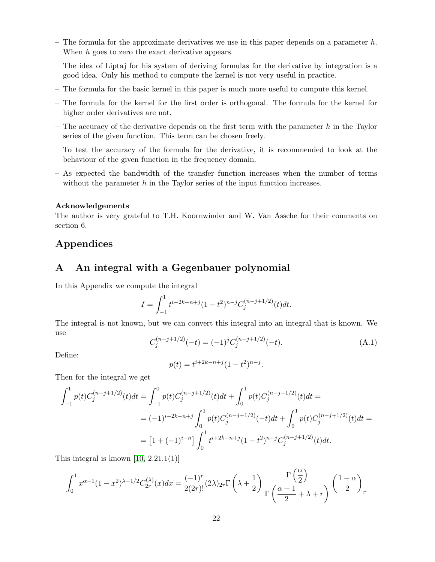- The formula for the approximate derivatives we use in this paper depends on a parameter  $h$ . When h goes to zero the exact derivative appears.
- The idea of Liptaj for his system of deriving formulas for the derivative by integration is a good idea. Only his method to compute the kernel is not very useful in practice.
- The formula for the basic kernel in this paper is much more useful to compute this kernel.
- The formula for the kernel for the first order is orthogonal. The formula for the kernel for higher order derivatives are not.
- The accuracy of the derivative depends on the first term with the parameter  $h$  in the Taylor series of the given function. This term can be chosen freely.
- To test the accuracy of the formula for the derivative, it is recommended to look at the behaviour of the given function in the frequency domain.
- As expected the bandwidth of the transfer function increases when the number of terms without the parameter  $h$  in the Taylor series of the input function increases.

#### Acknowledgements

The author is very grateful to T.H. Koornwinder and W. Van Assche for their comments on section 6.

### Appendices

### A An integral with a Gegenbauer polynomial

In this Appendix we compute the integral

$$
I = \int_{-1}^{1} t^{i+2k-n+j} (1-t^2)^{n-j} C_j^{(n-j+1/2)}(t) dt.
$$

The integral is not known, but we can convert this integral into an integral that is known. We use

$$
C_j^{(n-j+1/2)}(-t) = (-1)^j C_j^{(n-j+1/2)}(-t).
$$
\n(A.1)

Define:

$$
p(t) = t^{i+2k-n+j}(1-t^2)^{n-j}.
$$

Then for the integral we get

$$
\int_{-1}^{1} p(t)C_j^{(n-j+1/2)}(t)dt = \int_{-1}^{0} p(t)C_j^{(n-j+1/2)}(t)dt + \int_{0}^{1} p(t)C_j^{(n-j+1/2)}(t)dt =
$$
  

$$
= (-1)^{i+2k-n+j} \int_{0}^{1} p(t)C_j^{(n-j+1/2)}(-t)dt + \int_{0}^{1} p(t)C_j^{(n-j+1/2)}(t)dt =
$$
  

$$
= [1 + (-1)^{i-n}] \int_{0}^{1} t^{i+2k-n+j} (1-t^2)^{n-j} C_j^{(n-j+1/2)}(t)dt.
$$

This integral is known  $[10, 2.21.1(1)]$ 

$$
\int_0^1 x^{\alpha-1} (1-x^2)^{\lambda-1/2} C_{2r}^{(\lambda)}(x) dx = \frac{(-1)^r}{2(2r)!} (2\lambda)_{2r} \Gamma\left(\lambda + \frac{1}{2}\right) \frac{\Gamma\left(\frac{\alpha}{2}\right)}{\Gamma\left(\frac{\alpha+1}{2} + \lambda + r\right)} \left(\frac{1-\alpha}{2}\right)_r
$$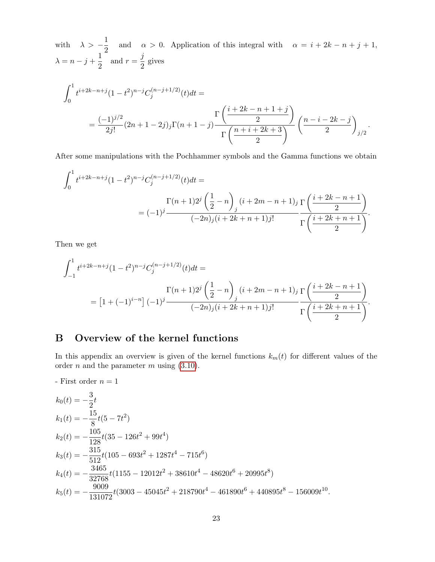with  $\lambda > -\frac{1}{2}$  $\frac{1}{2}$  and  $\alpha > 0$ . Application of this integral with  $\alpha = i + 2k - n + j + 1$ ,  $\lambda = n - j + \frac{1}{2}$  $\frac{1}{2}$  and  $r = \frac{j}{2}$  $\frac{3}{2}$  gives

$$
\int_0^1 t^{i+2k-n+j} (1-t^2)^{n-j} C_j^{(n-j+1/2)}(t) dt =
$$
\n
$$
= \frac{(-1)^{j/2}}{2j!} (2n+1-2j)_j \Gamma(n+1-j) \frac{\Gamma\left(\frac{i+2k-n+1+j}{2}\right)}{\Gamma\left(\frac{n+i+2k+3}{2}\right)} \left(\frac{n-i-2k-j}{2}\right)_{j/2}.
$$

After some manipulations with the Pochhammer symbols and the Gamma functions we obtain

$$
\int_0^1 t^{i+2k-n+j} (1-t^2)^{n-j} C_j^{(n-j+1/2)}(t) dt =
$$
\n
$$
= (-1)^j \frac{\Gamma(n+1)2^j \left(\frac{1}{2} - n\right)_j (i+2m-n+1)_j \Gamma\left(\frac{i+2k-n+1}{2}\right)}{(-2n)_j (i+2k+n+1)_j!} \frac{\Gamma\left(\frac{i+2k-n+1}{2}\right)}{\Gamma\left(\frac{i+2k+n+1}{2}\right)}.
$$

Then we get

$$
\int_{-1}^{1} t^{i+2k-n+j} (1-t^2)^{n-j} C_j^{(n-j+1/2)}(t) dt =
$$
\n
$$
= \left[1 + (-1)^{i-n}\right] (-1)^j \frac{\Gamma\left(\frac{1}{2} - n\right)_j (i+2m-n+1)_j \Gamma\left(\frac{i+2k-n+1}{2}\right)}{(-2n)_j (i+2k+n+1)j!} \frac{\Gamma\left(\frac{i+2k+n+1}{2}\right)}{\Gamma\left(\frac{i+2k+n+1}{2}\right)}.
$$

## B Overview of the kernel functions

In this appendix an overview is given of the kernel functions  $k_m(t)$  for different values of the order  $n$  and the parameter  $m$  using  $(3.10)$ .

- First order  $n=1$ 

$$
k_0(t) = -\frac{3}{2}t
$$
  
\n
$$
k_1(t) = -\frac{15}{8}t(5 - 7t^2)
$$
  
\n
$$
k_2(t) = -\frac{105}{128}t(35 - 126t^2 + 99t^4)
$$
  
\n
$$
k_3(t) = -\frac{315}{512}t(105 - 693t^2 + 1287t^4 - 715t^6)
$$
  
\n
$$
k_4(t) = -\frac{3465}{32768}t(1155 - 12012t^2 + 38610t^4 - 48620t^6 + 20995t^8)
$$
  
\n
$$
k_5(t) = -\frac{9009}{131072}t(3003 - 45045t^2 + 218790t^4 - 461890t^6 + 440895t^8 - 156009t^{10}.
$$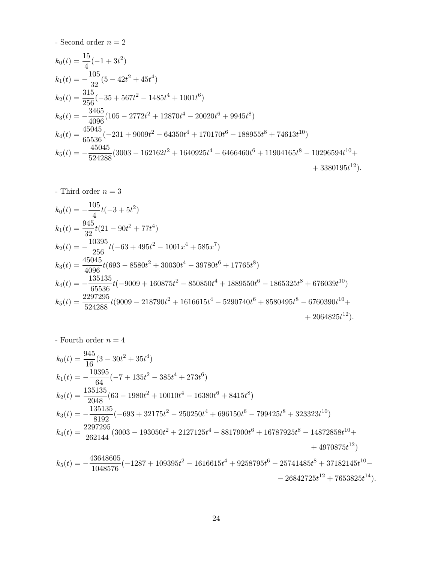- Second order  $n=2$ 

$$
k_0(t) = \frac{15}{4}(-1+3t^2)
$$
  
\n
$$
k_1(t) = -\frac{105}{32}(5-42t^2+45t^4)
$$
  
\n
$$
k_2(t) = \frac{315}{256}(-35+567t^2-1485t^4+1001t^6)
$$
  
\n
$$
k_3(t) = -\frac{3465}{4096}(105-2772t^2+12870t^4-20020t^6+9945t^8)
$$
  
\n
$$
k_4(t) = \frac{45045}{65536}(-231+9009t^2-64350t^4+170170t^6-188955t^8+74613t^{10})
$$
  
\n
$$
k_5(t) = -\frac{45045}{524288}(3003-162162t^2+1640925t^4-6466460t^6+11904165t^8-10296594t^{10}+3380195t^{12}).
$$

- Third order  $n=3$ 

$$
k_0(t) = -\frac{105}{4}t(-3+5t^2)
$$
  
\n
$$
k_1(t) = \frac{945}{32}t(21-90t^2+77t^4)
$$
  
\n
$$
k_2(t) = -\frac{10395}{256}t(-63+495t^2-1001x^4+585x^7)
$$
  
\n
$$
k_3(t) = \frac{45045}{4096}t(693-8580t^2+30030t^4-39780t^6+17765t^8)
$$
  
\n
$$
k_4(t) = -\frac{135135}{65536}t(-9009+160875t^2-850850t^4+1889550t^6-1865325t^8+676039t^{10})
$$
  
\n
$$
k_5(t) = \frac{2297295}{524288}t(9009-218790t^2+1616615t^4-5290740t^6+8580495t^8-6760390t^{10}+2064825t^{12}).
$$

- Fourth order  $n=4$ 

$$
k_0(t) = \frac{945}{16}(3 - 30t^2 + 35t^4)
$$
  
\n
$$
k_1(t) = -\frac{10395}{64}(-7 + 135t^2 - 385t^4 + 273t^6)
$$
  
\n
$$
k_2(t) = \frac{135135}{2048}(63 - 1980t^2 + 10010t^4 - 16380t^6 + 8415t^8)
$$
  
\n
$$
k_3(t) = -\frac{135135}{8192}(-693 + 32175t^2 - 250250t^4 + 696150t^6 - 799425t^8 + 323323t^{10})
$$
  
\n
$$
k_4(t) = \frac{2297295}{262144}(3003 - 193050t^2 + 2127125t^4 - 8817900t^6 + 16787925t^8 - 14872858t^{10} + 4970875t^{12})
$$
  
\n
$$
k_5(t) = -\frac{43648605}{1048576}(-1287 + 109395t^2 - 1616615t^4 + 9258795t^6 - 25741485t^8 + 37182145t^{10} - 26842725t^{12} + 7653825t^{14}).
$$